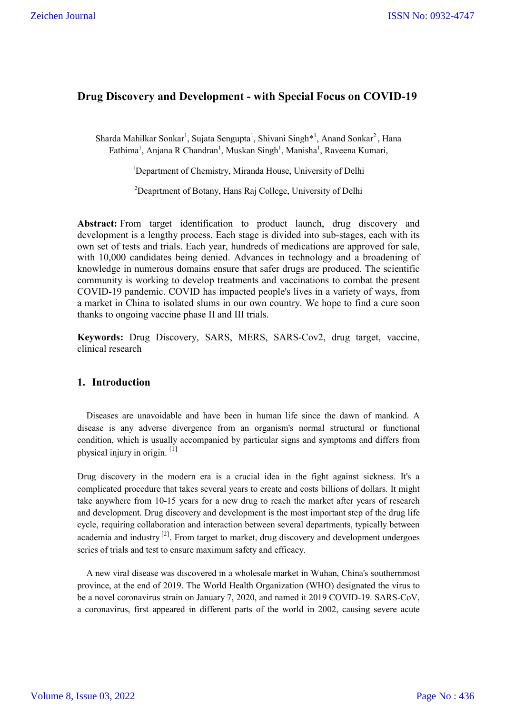## **Drug Discovery and Development - with Special Focus on COVID-19**

Sharda Mahilkar Sonkar<sup>1</sup>, Sujata Sengupta<sup>1</sup>, Shivani Singh\*<sup>1</sup>, Anand Sonkar<sup>2</sup>, Hana Fathima<sup>1</sup>, Anjana R Chandran<sup>1</sup>, Muskan Singh<sup>1</sup>, Manisha<sup>1</sup>, Raveena Kumari,

<sup>1</sup>Department of Chemistry, Miranda House, University of Delhi

 $^{2}$ Deaprtment of Botany, Hans Raj College, University of Delhi

**Abstract:** From target identification to product launch, drug discovery and development is a lengthy process. Each stage is divided into sub-stages, each with its own set of tests and trials. Each year, hundreds of medications are approved for sale, with 10,000 candidates being denied. Advances in technology and a broadening of knowledge in numerous domains ensure that safer drugs are produced. The scientific community is working to develop treatments and vaccinations to combat the present COVID-19 pandemic. COVID has impacted people's lives in a variety of ways, from a market in China to isolated slums in our own country. We hope to find a cure soon thanks to ongoing vaccine phase II and III trials.

**Keywords:** Drug Discovery, SARS, MERS, SARS-Cov2, drug target, vaccine, clinical research

## **1. Introduction**

 Diseases are unavoidable and have been in human life since the dawn of mankind. A disease is any adverse divergence from an organism's normal structural or functional condition, which is usually accompanied by particular signs and symptoms and differs from physical injury in origin.  $[1]$ 

Drug discovery in the modern era is a crucial idea in the fight against sickness. It's a complicated procedure that takes several years to create and costs billions of dollars. It might take anywhere from 10-15 years for a new drug to reach the market after years of research and development. Drug discovery and development is the most important step of the drug life cycle, requiring collaboration and interaction between several departments, typically between academia and industry  $^{[2]}$ . From target to market, drug discovery and development undergoes series of trials and test to ensure maximum safety and efficacy.

 A new viral disease was discovered in a wholesale market in Wuhan, China's southernmost province, at the end of 2019. The World Health Organization (WHO) designated the virus to be a novel coronavirus strain on January 7, 2020, and named it 2019 COVID-19. SARS-CoV, a coronavirus, first appeared in different parts of the world in 2002, causing severe acute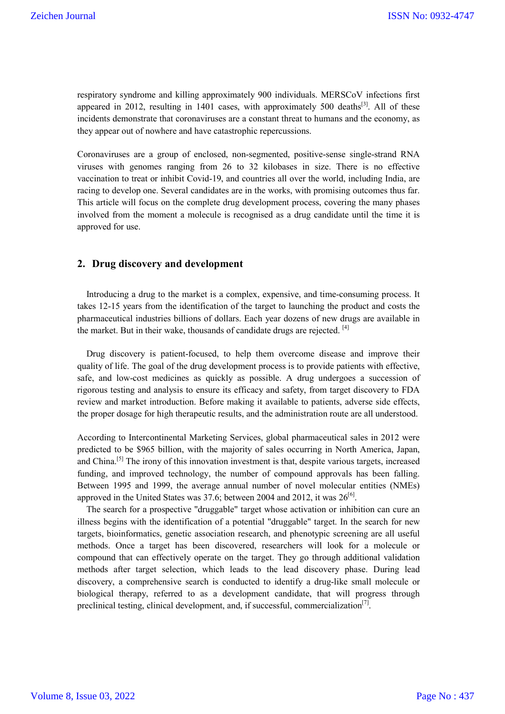respiratory syndrome and killing approximately 900 individuals. MERSCoV infections first appeared in 2012, resulting in 1401 cases, with approximately 500 deaths<sup>[3]</sup>. All of these incidents demonstrate that coronaviruses are a constant threat to humans and the economy, as they appear out of nowhere and have catastrophic repercussions.

Coronaviruses are a group of enclosed, non-segmented, positive-sense single-strand RNA viruses with genomes ranging from 26 to 32 kilobases in size. There is no effective vaccination to treat or inhibit Covid-19, and countries all over the world, including India, are racing to develop one. Several candidates are in the works, with promising outcomes thus far. This article will focus on the complete drug development process, covering the many phases involved from the moment a molecule is recognised as a drug candidate until the time it is approved for use.

### **2. Drug discovery and development**

 Introducing a drug to the market is a complex, expensive, and time-consuming process. It takes 12-15 years from the identification of the target to launching the product and costs the pharmaceutical industries billions of dollars. Each year dozens of new drugs are available in the market. But in their wake, thousands of candidate drugs are rejected.  $[4]$ 

 Drug discovery is patient-focused, to help them overcome disease and improve their quality of life. The goal of the drug development process is to provide patients with effective, safe, and low-cost medicines as quickly as possible. A drug undergoes a succession of rigorous testing and analysis to ensure its efficacy and safety, from target discovery to FDA review and market introduction. Before making it available to patients, adverse side effects, the proper dosage for high therapeutic results, and the administration route are all understood.

According to Intercontinental Marketing Services, global pharmaceutical sales in 2012 were predicted to be \$965 billion, with the majority of sales occurring in North America, Japan, and China.[5] The irony of this innovation investment is that, despite various targets, increased funding, and improved technology, the number of compound approvals has been falling. Between 1995 and 1999, the average annual number of novel molecular entities (NMEs) approved in the United States was 37.6; between 2004 and 2012, it was  $26^{[6]}$ .

 The search for a prospective "druggable" target whose activation or inhibition can cure an illness begins with the identification of a potential "druggable" target. In the search for new targets, bioinformatics, genetic association research, and phenotypic screening are all useful methods. Once a target has been discovered, researchers will look for a molecule or compound that can effectively operate on the target. They go through additional validation methods after target selection, which leads to the lead discovery phase. During lead discovery, a comprehensive search is conducted to identify a drug-like small molecule or biological therapy, referred to as a development candidate, that will progress through preclinical testing, clinical development, and, if successful, commercialization $^{[7]}$ .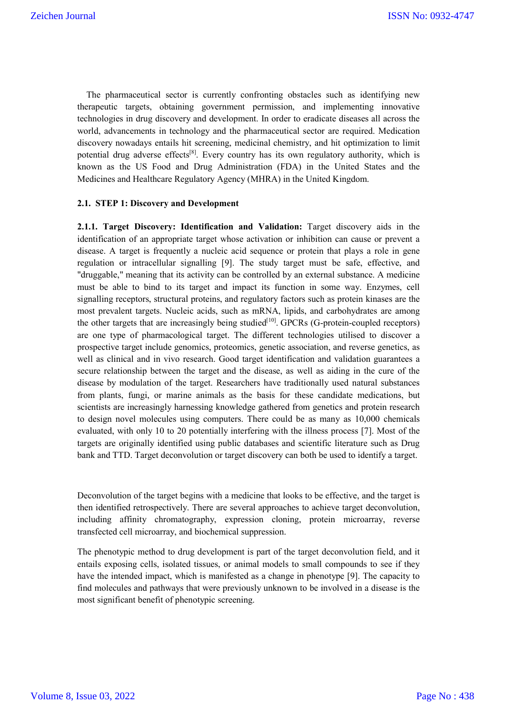The pharmaceutical sector is currently confronting obstacles such as identifying new therapeutic targets, obtaining government permission, and implementing innovative technologies in drug discovery and development. In order to eradicate diseases all across the world, advancements in technology and the pharmaceutical sector are required. Medication discovery nowadays entails hit screening, medicinal chemistry, and hit optimization to limit potential drug adverse effects<sup>[8]</sup>. Every country has its own regulatory authority, which is known as the US Food and Drug Administration (FDA) in the United States and the Medicines and Healthcare Regulatory Agency (MHRA) in the United Kingdom.

### **2.1. STEP 1: Discovery and Development**

**2.1.1. Target Discovery: Identification and Validation:** Target discovery aids in the identification of an appropriate target whose activation or inhibition can cause or prevent a disease. A target is frequently a nucleic acid sequence or protein that plays a role in gene regulation or intracellular signalling [9]. The study target must be safe, effective, and "druggable," meaning that its activity can be controlled by an external substance. A medicine must be able to bind to its target and impact its function in some way. Enzymes, cell signalling receptors, structural proteins, and regulatory factors such as protein kinases are the most prevalent targets. Nucleic acids, such as mRNA, lipids, and carbohydrates are among the other targets that are increasingly being studied<sup>[10]</sup>. GPCRs (G-protein-coupled receptors) are one type of pharmacological target. The different technologies utilised to discover a prospective target include genomics, proteomics, genetic association, and reverse genetics, as well as clinical and in vivo research. Good target identification and validation guarantees a secure relationship between the target and the disease, as well as aiding in the cure of the disease by modulation of the target. Researchers have traditionally used natural substances from plants, fungi, or marine animals as the basis for these candidate medications, but scientists are increasingly harnessing knowledge gathered from genetics and protein research to design novel molecules using computers. There could be as many as 10,000 chemicals evaluated, with only 10 to 20 potentially interfering with the illness process [7]. Most of the targets are originally identified using public databases and scientific literature such as Drug bank and TTD. Target deconvolution or target discovery can both be used to identify a target.

Deconvolution of the target begins with a medicine that looks to be effective, and the target is then identified retrospectively. There are several approaches to achieve target deconvolution, including affinity chromatography, expression cloning, protein microarray, reverse transfected cell microarray, and biochemical suppression.

The phenotypic method to drug development is part of the target deconvolution field, and it entails exposing cells, isolated tissues, or animal models to small compounds to see if they have the intended impact, which is manifested as a change in phenotype [9]. The capacity to find molecules and pathways that were previously unknown to be involved in a disease is the most significant benefit of phenotypic screening.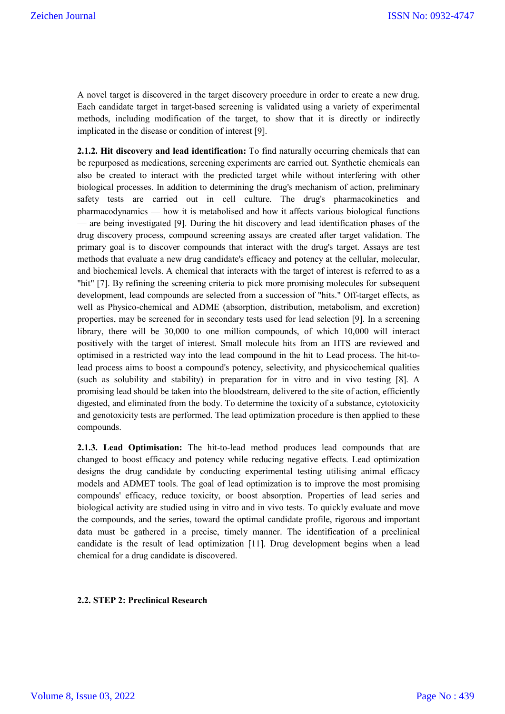A novel target is discovered in the target discovery procedure in order to create a new drug. Each candidate target in target-based screening is validated using a variety of experimental methods, including modification of the target, to show that it is directly or indirectly implicated in the disease or condition of interest [9].

**2.1.2. Hit discovery and lead identification:** To find naturally occurring chemicals that can be repurposed as medications, screening experiments are carried out. Synthetic chemicals can also be created to interact with the predicted target while without interfering with other biological processes. In addition to determining the drug's mechanism of action, preliminary safety tests are carried out in cell culture. The drug's pharmacokinetics and pharmacodynamics — how it is metabolised and how it affects various biological functions — are being investigated [9]. During the hit discovery and lead identification phases of the drug discovery process, compound screening assays are created after target validation. The primary goal is to discover compounds that interact with the drug's target. Assays are test methods that evaluate a new drug candidate's efficacy and potency at the cellular, molecular, and biochemical levels. A chemical that interacts with the target of interest is referred to as a "hit" [7]. By refining the screening criteria to pick more promising molecules for subsequent development, lead compounds are selected from a succession of "hits." Off-target effects, as well as Physico-chemical and ADME (absorption, distribution, metabolism, and excretion) properties, may be screened for in secondary tests used for lead selection [9]. In a screening library, there will be 30,000 to one million compounds, of which 10,000 will interact positively with the target of interest. Small molecule hits from an HTS are reviewed and optimised in a restricted way into the lead compound in the hit to Lead process. The hit-tolead process aims to boost a compound's potency, selectivity, and physicochemical qualities (such as solubility and stability) in preparation for in vitro and in vivo testing [8]. A promising lead should be taken into the bloodstream, delivered to the site of action, efficiently digested, and eliminated from the body. To determine the toxicity of a substance, cytotoxicity and genotoxicity tests are performed. The lead optimization procedure is then applied to these compounds.

**2.1.3. Lead Optimisation:** The hit-to-lead method produces lead compounds that are changed to boost efficacy and potency while reducing negative effects. Lead optimization designs the drug candidate by conducting experimental testing utilising animal efficacy models and ADMET tools. The goal of lead optimization is to improve the most promising compounds' efficacy, reduce toxicity, or boost absorption. Properties of lead series and biological activity are studied using in vitro and in vivo tests. To quickly evaluate and move the compounds, and the series, toward the optimal candidate profile, rigorous and important data must be gathered in a precise, timely manner. The identification of a preclinical candidate is the result of lead optimization [11]. Drug development begins when a lead chemical for a drug candidate is discovered.

#### **2.2. STEP 2: Preclinical Research**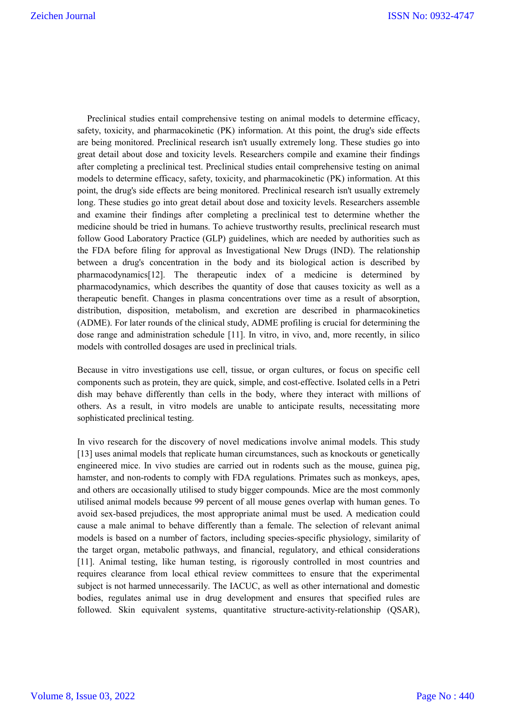Preclinical studies entail comprehensive testing on animal models to determine efficacy, safety, toxicity, and pharmacokinetic (PK) information. At this point, the drug's side effects are being monitored. Preclinical research isn't usually extremely long. These studies go into great detail about dose and toxicity levels. Researchers compile and examine their findings after completing a preclinical test. Preclinical studies entail comprehensive testing on animal models to determine efficacy, safety, toxicity, and pharmacokinetic (PK) information. At this point, the drug's side effects are being monitored. Preclinical research isn't usually extremely long. These studies go into great detail about dose and toxicity levels. Researchers assemble and examine their findings after completing a preclinical test to determine whether the medicine should be tried in humans. To achieve trustworthy results, preclinical research must follow Good Laboratory Practice (GLP) guidelines, which are needed by authorities such as the FDA before filing for approval as Investigational New Drugs (IND). The relationship between a drug's concentration in the body and its biological action is described by pharmacodynamics[12]. The therapeutic index of a medicine is determined by pharmacodynamics, which describes the quantity of dose that causes toxicity as well as a therapeutic benefit. Changes in plasma concentrations over time as a result of absorption, distribution, disposition, metabolism, and excretion are described in pharmacokinetics (ADME). For later rounds of the clinical study, ADME profiling is crucial for determining the dose range and administration schedule [11]. In vitro, in vivo, and, more recently, in silico models with controlled dosages are used in preclinical trials.

Because in vitro investigations use cell, tissue, or organ cultures, or focus on specific cell components such as protein, they are quick, simple, and cost-effective. Isolated cells in a Petri dish may behave differently than cells in the body, where they interact with millions of others. As a result, in vitro models are unable to anticipate results, necessitating more sophisticated preclinical testing.

In vivo research for the discovery of novel medications involve animal models. This study [13] uses animal models that replicate human circumstances, such as knockouts or genetically engineered mice. In vivo studies are carried out in rodents such as the mouse, guinea pig, hamster, and non-rodents to comply with FDA regulations. Primates such as monkeys, apes, and others are occasionally utilised to study bigger compounds. Mice are the most commonly utilised animal models because 99 percent of all mouse genes overlap with human genes. To avoid sex-based prejudices, the most appropriate animal must be used. A medication could cause a male animal to behave differently than a female. The selection of relevant animal models is based on a number of factors, including species-specific physiology, similarity of the target organ, metabolic pathways, and financial, regulatory, and ethical considerations [11]. Animal testing, like human testing, is rigorously controlled in most countries and requires clearance from local ethical review committees to ensure that the experimental subject is not harmed unnecessarily. The IACUC, as well as other international and domestic bodies, regulates animal use in drug development and ensures that specified rules are followed. Skin equivalent systems, quantitative structure-activity-relationship (QSAR),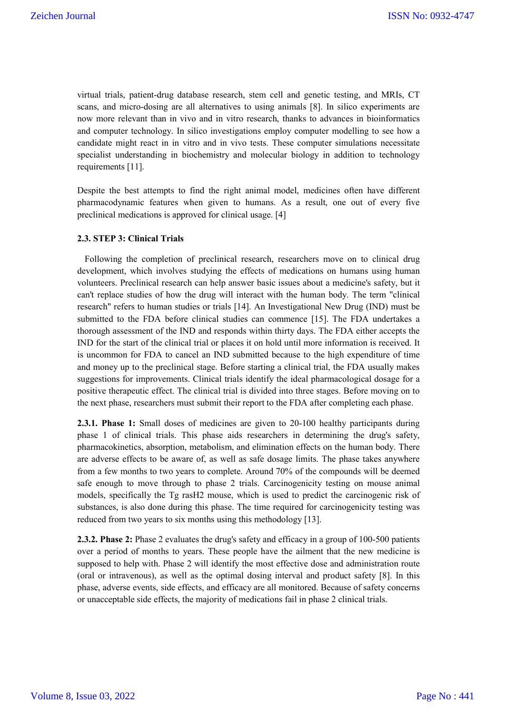virtual trials, patient-drug database research, stem cell and genetic testing, and MRIs, CT scans, and micro-dosing are all alternatives to using animals [8]. In silico experiments are now more relevant than in vivo and in vitro research, thanks to advances in bioinformatics and computer technology. In silico investigations employ computer modelling to see how a candidate might react in in vitro and in vivo tests. These computer simulations necessitate specialist understanding in biochemistry and molecular biology in addition to technology requirements [11].

Despite the best attempts to find the right animal model, medicines often have different pharmacodynamic features when given to humans. As a result, one out of every five preclinical medications is approved for clinical usage. [4]

### **2.3. STEP 3: Clinical Trials**

 Following the completion of preclinical research, researchers move on to clinical drug development, which involves studying the effects of medications on humans using human volunteers. Preclinical research can help answer basic issues about a medicine's safety, but it can't replace studies of how the drug will interact with the human body. The term "clinical research" refers to human studies or trials [14]. An Investigational New Drug (IND) must be submitted to the FDA before clinical studies can commence [15]. The FDA undertakes a thorough assessment of the IND and responds within thirty days. The FDA either accepts the IND for the start of the clinical trial or places it on hold until more information is received. It is uncommon for FDA to cancel an IND submitted because to the high expenditure of time and money up to the preclinical stage. Before starting a clinical trial, the FDA usually makes suggestions for improvements. Clinical trials identify the ideal pharmacological dosage for a positive therapeutic effect. The clinical trial is divided into three stages. Before moving on to the next phase, researchers must submit their report to the FDA after completing each phase.

**2.3.1. Phase 1:** Small doses of medicines are given to 20-100 healthy participants during phase 1 of clinical trials. This phase aids researchers in determining the drug's safety, pharmacokinetics, absorption, metabolism, and elimination effects on the human body. There are adverse effects to be aware of, as well as safe dosage limits. The phase takes anywhere from a few months to two years to complete. Around 70% of the compounds will be deemed safe enough to move through to phase 2 trials. Carcinogenicity testing on mouse animal models, specifically the Tg rasH2 mouse, which is used to predict the carcinogenic risk of substances, is also done during this phase. The time required for carcinogenicity testing was reduced from two years to six months using this methodology [13].

**2.3.2. Phase 2:** Phase 2 evaluates the drug's safety and efficacy in a group of 100-500 patients over a period of months to years. These people have the ailment that the new medicine is supposed to help with. Phase 2 will identify the most effective dose and administration route (oral or intravenous), as well as the optimal dosing interval and product safety [8]. In this phase, adverse events, side effects, and efficacy are all monitored. Because of safety concerns or unacceptable side effects, the majority of medications fail in phase 2 clinical trials.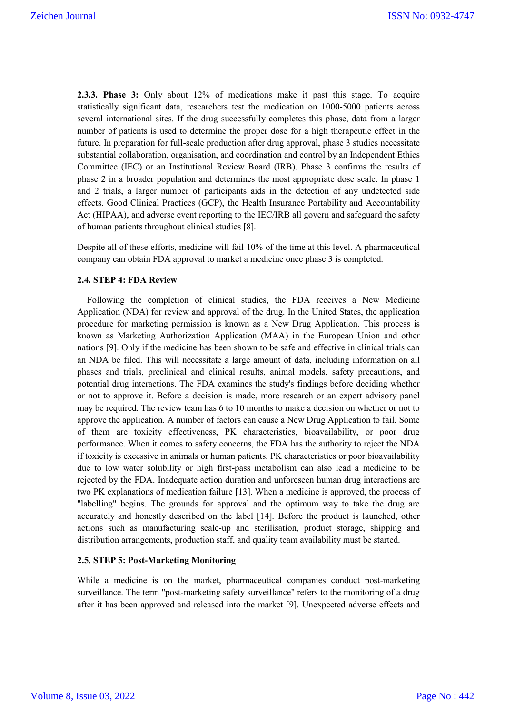**2.3.3. Phase 3:** Only about 12% of medications make it past this stage. To acquire statistically significant data, researchers test the medication on 1000-5000 patients across several international sites. If the drug successfully completes this phase, data from a larger number of patients is used to determine the proper dose for a high therapeutic effect in the future. In preparation for full-scale production after drug approval, phase 3 studies necessitate substantial collaboration, organisation, and coordination and control by an Independent Ethics Committee (IEC) or an Institutional Review Board (IRB). Phase 3 confirms the results of phase 2 in a broader population and determines the most appropriate dose scale. In phase 1 and 2 trials, a larger number of participants aids in the detection of any undetected side effects. Good Clinical Practices (GCP), the Health Insurance Portability and Accountability Act (HIPAA), and adverse event reporting to the IEC/IRB all govern and safeguard the safety of human patients throughout clinical studies [8].

Despite all of these efforts, medicine will fail 10% of the time at this level. A pharmaceutical company can obtain FDA approval to market a medicine once phase 3 is completed.

#### **2.4. STEP 4: FDA Review**

 Following the completion of clinical studies, the FDA receives a New Medicine Application (NDA) for review and approval of the drug. In the United States, the application procedure for marketing permission is known as a New Drug Application. This process is known as Marketing Authorization Application (MAA) in the European Union and other nations [9]. Only if the medicine has been shown to be safe and effective in clinical trials can an NDA be filed. This will necessitate a large amount of data, including information on all phases and trials, preclinical and clinical results, animal models, safety precautions, and potential drug interactions. The FDA examines the study's findings before deciding whether or not to approve it. Before a decision is made, more research or an expert advisory panel may be required. The review team has 6 to 10 months to make a decision on whether or not to approve the application. A number of factors can cause a New Drug Application to fail. Some of them are toxicity effectiveness, PK characteristics, bioavailability, or poor drug performance. When it comes to safety concerns, the FDA has the authority to reject the NDA if toxicity is excessive in animals or human patients. PK characteristics or poor bioavailability due to low water solubility or high first-pass metabolism can also lead a medicine to be rejected by the FDA. Inadequate action duration and unforeseen human drug interactions are two PK explanations of medication failure [13]. When a medicine is approved, the process of "labelling" begins. The grounds for approval and the optimum way to take the drug are accurately and honestly described on the label [14]. Before the product is launched, other actions such as manufacturing scale-up and sterilisation, product storage, shipping and distribution arrangements, production staff, and quality team availability must be started.

#### **2.5. STEP 5: Post-Marketing Monitoring**

While a medicine is on the market, pharmaceutical companies conduct post-marketing surveillance. The term "post-marketing safety surveillance" refers to the monitoring of a drug after it has been approved and released into the market [9]. Unexpected adverse effects and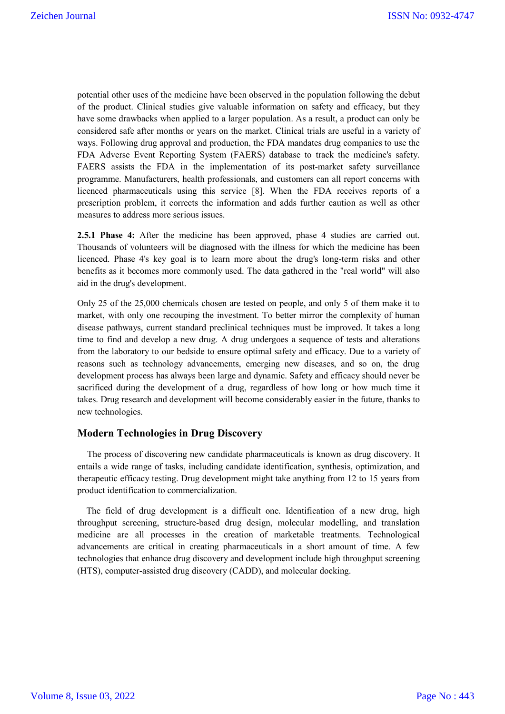potential other uses of the medicine have been observed in the population following the debut of the product. Clinical studies give valuable information on safety and efficacy, but they have some drawbacks when applied to a larger population. As a result, a product can only be considered safe after months or years on the market. Clinical trials are useful in a variety of ways. Following drug approval and production, the FDA mandates drug companies to use the FDA Adverse Event Reporting System (FAERS) database to track the medicine's safety. FAERS assists the FDA in the implementation of its post-market safety surveillance programme. Manufacturers, health professionals, and customers can all report concerns with licenced pharmaceuticals using this service [8]. When the FDA receives reports of a prescription problem, it corrects the information and adds further caution as well as other measures to address more serious issues.

**2.5.1 Phase 4:** After the medicine has been approved, phase 4 studies are carried out. Thousands of volunteers will be diagnosed with the illness for which the medicine has been licenced. Phase 4's key goal is to learn more about the drug's long-term risks and other benefits as it becomes more commonly used. The data gathered in the "real world" will also aid in the drug's development.

Only 25 of the 25,000 chemicals chosen are tested on people, and only 5 of them make it to market, with only one recouping the investment. To better mirror the complexity of human disease pathways, current standard preclinical techniques must be improved. It takes a long time to find and develop a new drug. A drug undergoes a sequence of tests and alterations from the laboratory to our bedside to ensure optimal safety and efficacy. Due to a variety of reasons such as technology advancements, emerging new diseases, and so on, the drug development process has always been large and dynamic. Safety and efficacy should never be sacrificed during the development of a drug, regardless of how long or how much time it takes. Drug research and development will become considerably easier in the future, thanks to new technologies.

### **Modern Technologies in Drug Discovery**

 The process of discovering new candidate pharmaceuticals is known as drug discovery. It entails a wide range of tasks, including candidate identification, synthesis, optimization, and therapeutic efficacy testing. Drug development might take anything from 12 to 15 years from product identification to commercialization.

 The field of drug development is a difficult one. Identification of a new drug, high throughput screening, structure-based drug design, molecular modelling, and translation medicine are all processes in the creation of marketable treatments. Technological advancements are critical in creating pharmaceuticals in a short amount of time. A few technologies that enhance drug discovery and development include high throughput screening (HTS), computer-assisted drug discovery (CADD), and molecular docking.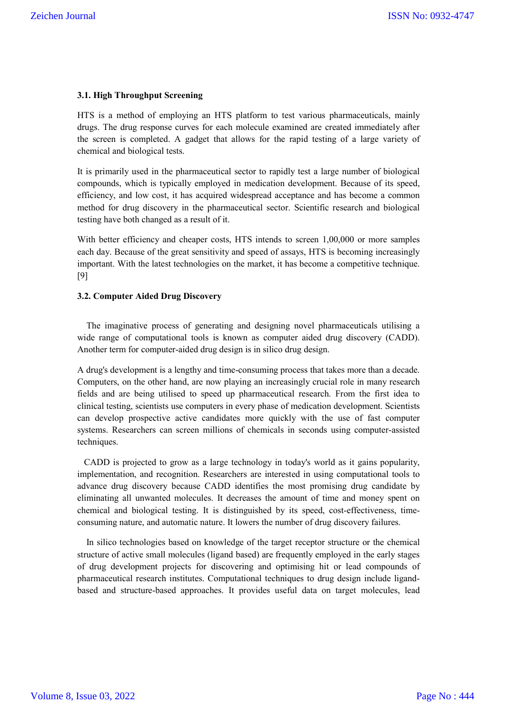#### **3.1. High Throughput Screening**

HTS is a method of employing an HTS platform to test various pharmaceuticals, mainly drugs. The drug response curves for each molecule examined are created immediately after the screen is completed. A gadget that allows for the rapid testing of a large variety of chemical and biological tests.

It is primarily used in the pharmaceutical sector to rapidly test a large number of biological compounds, which is typically employed in medication development. Because of its speed, efficiency, and low cost, it has acquired widespread acceptance and has become a common method for drug discovery in the pharmaceutical sector. Scientific research and biological testing have both changed as a result of it.

With better efficiency and cheaper costs, HTS intends to screen 1,00,000 or more samples each day. Because of the great sensitivity and speed of assays, HTS is becoming increasingly important. With the latest technologies on the market, it has become a competitive technique. [9]

#### **3.2. Computer Aided Drug Discovery**

 The imaginative process of generating and designing novel pharmaceuticals utilising a wide range of computational tools is known as computer aided drug discovery (CADD). Another term for computer-aided drug design is in silico drug design.

A drug's development is a lengthy and time-consuming process that takes more than a decade. Computers, on the other hand, are now playing an increasingly crucial role in many research fields and are being utilised to speed up pharmaceutical research. From the first idea to clinical testing, scientists use computers in every phase of medication development. Scientists can develop prospective active candidates more quickly with the use of fast computer systems. Researchers can screen millions of chemicals in seconds using computer-assisted techniques.

 CADD is projected to grow as a large technology in today's world as it gains popularity, implementation, and recognition. Researchers are interested in using computational tools to advance drug discovery because CADD identifies the most promising drug candidate by eliminating all unwanted molecules. It decreases the amount of time and money spent on chemical and biological testing. It is distinguished by its speed, cost-effectiveness, timeconsuming nature, and automatic nature. It lowers the number of drug discovery failures.

 In silico technologies based on knowledge of the target receptor structure or the chemical structure of active small molecules (ligand based) are frequently employed in the early stages of drug development projects for discovering and optimising hit or lead compounds of pharmaceutical research institutes. Computational techniques to drug design include ligandbased and structure-based approaches. It provides useful data on target molecules, lead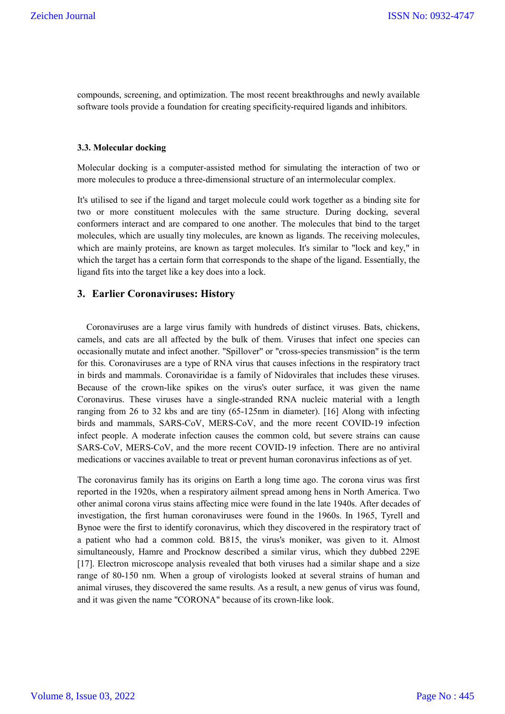compounds, screening, and optimization. The most recent breakthroughs and newly available software tools provide a foundation for creating specificity-required ligands and inhibitors.

#### **3.3. Molecular docking**

Molecular docking is a computer-assisted method for simulating the interaction of two or more molecules to produce a three-dimensional structure of an intermolecular complex.

It's utilised to see if the ligand and target molecule could work together as a binding site for two or more constituent molecules with the same structure. During docking, several conformers interact and are compared to one another. The molecules that bind to the target molecules, which are usually tiny molecules, are known as ligands. The receiving molecules, which are mainly proteins, are known as target molecules. It's similar to "lock and key," in which the target has a certain form that corresponds to the shape of the ligand. Essentially, the ligand fits into the target like a key does into a lock.

### **3. Earlier Coronaviruses: History**

 Coronaviruses are a large virus family with hundreds of distinct viruses. Bats, chickens, camels, and cats are all affected by the bulk of them. Viruses that infect one species can occasionally mutate and infect another. "Spillover" or "cross-species transmission" is the term for this. Coronaviruses are a type of RNA virus that causes infections in the respiratory tract in birds and mammals. Coronaviridae is a family of Nidovirales that includes these viruses. Because of the crown-like spikes on the virus's outer surface, it was given the name Coronavirus. These viruses have a single-stranded RNA nucleic material with a length ranging from 26 to 32 kbs and are tiny (65-125nm in diameter). [16] Along with infecting birds and mammals, SARS-CoV, MERS-CoV, and the more recent COVID-19 infection infect people. A moderate infection causes the common cold, but severe strains can cause SARS-CoV, MERS-CoV, and the more recent COVID-19 infection. There are no antiviral medications or vaccines available to treat or prevent human coronavirus infections as of yet.

The coronavirus family has its origins on Earth a long time ago. The corona virus was first reported in the 1920s, when a respiratory ailment spread among hens in North America. Two other animal corona virus stains affecting mice were found in the late 1940s. After decades of investigation, the first human coronaviruses were found in the 1960s. In 1965, Tyrell and Bynoe were the first to identify coronavirus, which they discovered in the respiratory tract of a patient who had a common cold. B815, the virus's moniker, was given to it. Almost simultaneously, Hamre and Procknow described a similar virus, which they dubbed 229E [17]. Electron microscope analysis revealed that both viruses had a similar shape and a size range of 80-150 nm. When a group of virologists looked at several strains of human and animal viruses, they discovered the same results. As a result, a new genus of virus was found, and it was given the name "CORONA" because of its crown-like look.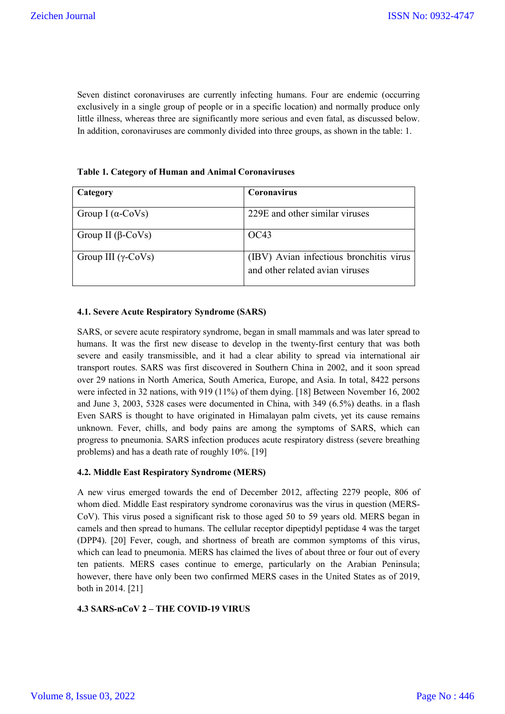Seven distinct coronaviruses are currently infecting humans. Four are endemic (occurring exclusively in a single group of people or in a specific location) and normally produce only little illness, whereas three are significantly more serious and even fatal, as discussed below. In addition, coronaviruses are commonly divided into three groups, as shown in the table: 1.

| Category                   | <b>Coronavirus</b>                                                         |
|----------------------------|----------------------------------------------------------------------------|
|                            |                                                                            |
| Group I ( $\alpha$ -CoVs)  | 229E and other similar viruses                                             |
| Group II ( $\beta$ -CoVs)  | OC43                                                                       |
| Group III $(\gamma$ -CoVs) | (IBV) Avian infectious bronchitis virus<br>and other related avian viruses |

**Table 1. Category of Human and Animal Coronaviruses**

### **4.1. Severe Acute Respiratory Syndrome (SARS)**

SARS, or severe acute respiratory syndrome, began in small mammals and was later spread to humans. It was the first new disease to develop in the twenty-first century that was both severe and easily transmissible, and it had a clear ability to spread via international air transport routes. SARS was first discovered in Southern China in 2002, and it soon spread over 29 nations in North America, South America, Europe, and Asia. In total, 8422 persons were infected in 32 nations, with 919 (11%) of them dying. [18] Between November 16, 2002 and June 3, 2003, 5328 cases were documented in China, with 349 (6.5%) deaths. in a flash Even SARS is thought to have originated in Himalayan palm civets, yet its cause remains unknown. Fever, chills, and body pains are among the symptoms of SARS, which can progress to pneumonia. SARS infection produces acute respiratory distress (severe breathing problems) and has a death rate of roughly 10%. [19]

### **4.2. Middle East Respiratory Syndrome (MERS)**

A new virus emerged towards the end of December 2012, affecting 2279 people, 806 of whom died. Middle East respiratory syndrome coronavirus was the virus in question (MERS-CoV). This virus posed a significant risk to those aged 50 to 59 years old. MERS began in camels and then spread to humans. The cellular receptor dipeptidyl peptidase 4 was the target (DPP4). [20] Fever, cough, and shortness of breath are common symptoms of this virus, which can lead to pneumonia. MERS has claimed the lives of about three or four out of every ten patients. MERS cases continue to emerge, particularly on the Arabian Peninsula; however, there have only been two confirmed MERS cases in the United States as of 2019, both in 2014. [21]

### **4.3 SARS-nCoV 2 – THE COVID-19 VIRUS**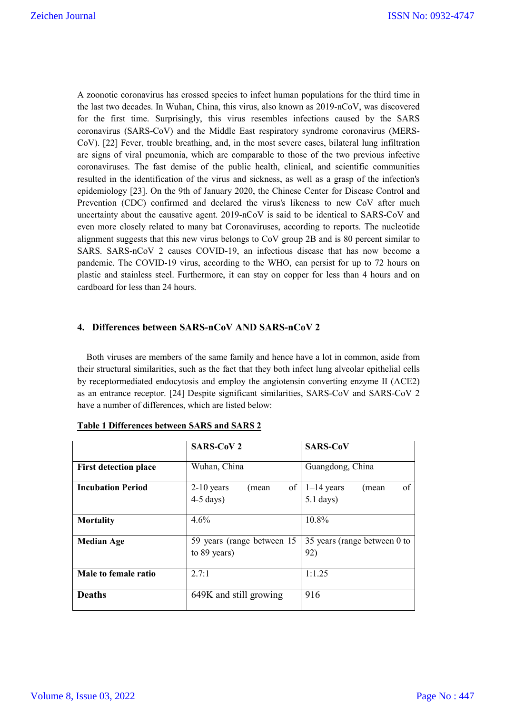A zoonotic coronavirus has crossed species to infect human populations for the third time in the last two decades. In Wuhan, China, this virus, also known as 2019-nCoV, was discovered for the first time. Surprisingly, this virus resembles infections caused by the SARS coronavirus (SARS-CoV) and the Middle East respiratory syndrome coronavirus (MERS-CoV). [22] Fever, trouble breathing, and, in the most severe cases, bilateral lung infiltration are signs of viral pneumonia, which are comparable to those of the two previous infective coronaviruses. The fast demise of the public health, clinical, and scientific communities resulted in the identification of the virus and sickness, as well as a grasp of the infection's epidemiology [23]. On the 9th of January 2020, the Chinese Center for Disease Control and Prevention (CDC) confirmed and declared the virus's likeness to new CoV after much uncertainty about the causative agent. 2019-nCoV is said to be identical to SARS-CoV and even more closely related to many bat Coronaviruses, according to reports. The nucleotide alignment suggests that this new virus belongs to CoV group 2B and is 80 percent similar to SARS. SARS-nCoV 2 causes COVID-19, an infectious disease that has now become a pandemic. The COVID-19 virus, according to the WHO, can persist for up to 72 hours on plastic and stainless steel. Furthermore, it can stay on copper for less than 4 hours and on cardboard for less than 24 hours.

## **4. Differences between SARS-nCoV AND SARS-nCoV 2**

 Both viruses are members of the same family and hence have a lot in common, aside from their structural similarities, such as the fact that they both infect lung alveolar epithelial cells by receptormediated endocytosis and employ the angiotensin converting enzyme II (ACE2) as an entrance receptor. [24] Despite significant similarities, SARS-CoV and SARS-CoV 2 have a number of differences, which are listed below:

|                              | <b>SARS-CoV 2</b>                            | <b>SARS-CoV</b>                            |
|------------------------------|----------------------------------------------|--------------------------------------------|
| <b>First detection place</b> | Wuhan, China                                 | Guangdong, China                           |
| <b>Incubation Period</b>     | of<br>$2-10$ years<br>(mean<br>$4-5$ days)   | of<br>$1-14$ years<br>(mean<br>$5.1$ days) |
| <b>Mortality</b>             | 4.6%                                         | 10.8%                                      |
| <b>Median Age</b>            | 59 years (range between 15<br>to $89$ years) | 35 years (range between 0 to<br>92)        |
| Male to female ratio         | 2.7:1                                        | 1:1.25                                     |
| <b>Deaths</b>                | 649K and still growing                       | 916                                        |

|--|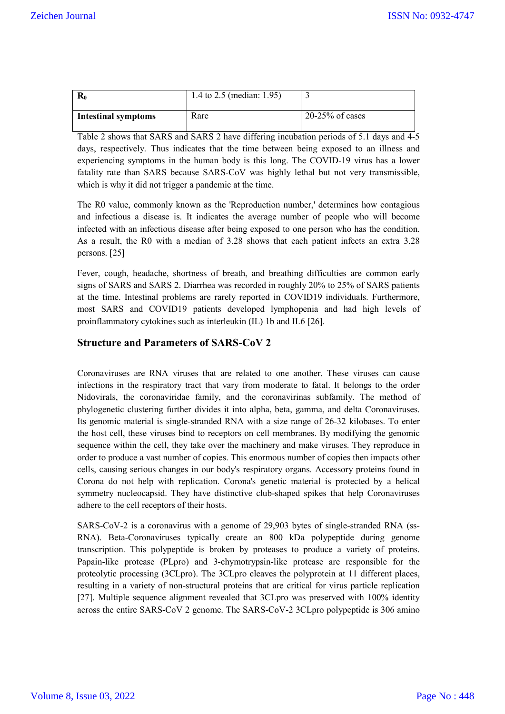| $\mathbf{R}_{0}$           | 1.4 to 2.5 (median: 1.95) |                   |
|----------------------------|---------------------------|-------------------|
| <b>Intestinal symptoms</b> | Rare                      | $20-25%$ of cases |

Table 2 shows that SARS and SARS 2 have differing incubation periods of 5.1 days and 4-5 days, respectively. Thus indicates that the time between being exposed to an illness and experiencing symptoms in the human body is this long. The COVID-19 virus has a lower fatality rate than SARS because SARS-CoV was highly lethal but not very transmissible, which is why it did not trigger a pandemic at the time.

The R0 value, commonly known as the 'Reproduction number,' determines how contagious and infectious a disease is. It indicates the average number of people who will become infected with an infectious disease after being exposed to one person who has the condition. As a result, the R0 with a median of 3.28 shows that each patient infects an extra 3.28 persons. [25]

Fever, cough, headache, shortness of breath, and breathing difficulties are common early signs of SARS and SARS 2. Diarrhea was recorded in roughly 20% to 25% of SARS patients at the time. Intestinal problems are rarely reported in COVID19 individuals. Furthermore, most SARS and COVID19 patients developed lymphopenia and had high levels of proinflammatory cytokines such as interleukin (IL) 1b and IL6 [26].

# **Structure and Parameters of SARS-CoV 2**

Coronaviruses are RNA viruses that are related to one another. These viruses can cause infections in the respiratory tract that vary from moderate to fatal. It belongs to the order Nidovirals, the coronaviridae family, and the coronavirinas subfamily. The method of phylogenetic clustering further divides it into alpha, beta, gamma, and delta Coronaviruses. Its genomic material is single-stranded RNA with a size range of 26-32 kilobases. To enter the host cell, these viruses bind to receptors on cell membranes. By modifying the genomic sequence within the cell, they take over the machinery and make viruses. They reproduce in order to produce a vast number of copies. This enormous number of copies then impacts other cells, causing serious changes in our body's respiratory organs. Accessory proteins found in Corona do not help with replication. Corona's genetic material is protected by a helical symmetry nucleocapsid. They have distinctive club-shaped spikes that help Coronaviruses adhere to the cell receptors of their hosts.

SARS-CoV-2 is a coronavirus with a genome of 29,903 bytes of single-stranded RNA (ss-RNA). Beta-Coronaviruses typically create an 800 kDa polypeptide during genome transcription. This polypeptide is broken by proteases to produce a variety of proteins. Papain-like protease (PLpro) and 3-chymotrypsin-like protease are responsible for the proteolytic processing (3CLpro). The 3CLpro cleaves the polyprotein at 11 different places, resulting in a variety of non-structural proteins that are critical for virus particle replication [27]. Multiple sequence alignment revealed that 3CLpro was preserved with 100% identity across the entire SARS-CoV 2 genome. The SARS-CoV-2 3CLpro polypeptide is 306 amino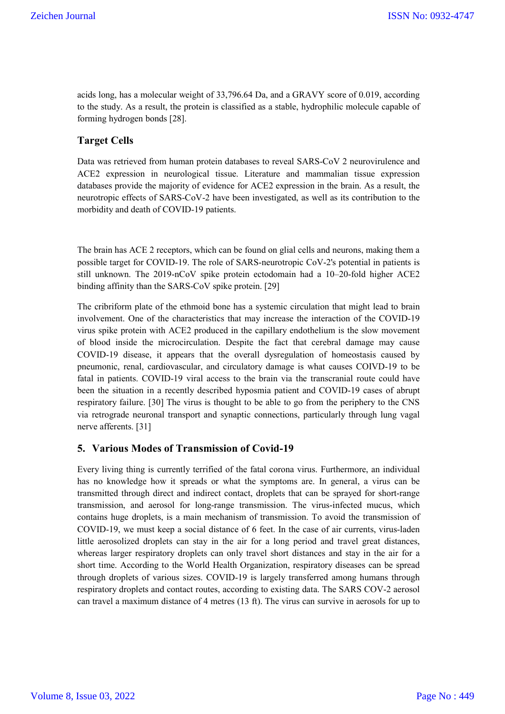acids long, has a molecular weight of 33,796.64 Da, and a GRAVY score of 0.019, according to the study. As a result, the protein is classified as a stable, hydrophilic molecule capable of forming hydrogen bonds [28].

# **Target Cells**

Data was retrieved from human protein databases to reveal SARS-CoV 2 neurovirulence and ACE2 expression in neurological tissue. Literature and mammalian tissue expression databases provide the majority of evidence for ACE2 expression in the brain. As a result, the neurotropic effects of SARS-CoV-2 have been investigated, as well as its contribution to the morbidity and death of COVID-19 patients.

The brain has ACE 2 receptors, which can be found on glial cells and neurons, making them a possible target for COVID-19. The role of SARS-neurotropic CoV-2's potential in patients is still unknown. The 2019-nCoV spike protein ectodomain had a 10–20-fold higher ACE2 binding affinity than the SARS-CoV spike protein. [29]

The cribriform plate of the ethmoid bone has a systemic circulation that might lead to brain involvement. One of the characteristics that may increase the interaction of the COVID-19 virus spike protein with ACE2 produced in the capillary endothelium is the slow movement of blood inside the microcirculation. Despite the fact that cerebral damage may cause COVID-19 disease, it appears that the overall dysregulation of homeostasis caused by pneumonic, renal, cardiovascular, and circulatory damage is what causes COIVD-19 to be fatal in patients. COVID-19 viral access to the brain via the transcranial route could have been the situation in a recently described hyposmia patient and COVID-19 cases of abrupt respiratory failure. [30] The virus is thought to be able to go from the periphery to the CNS via retrograde neuronal transport and synaptic connections, particularly through lung vagal nerve afferents. [31]

### **5. Various Modes of Transmission of Covid-19**

Every living thing is currently terrified of the fatal corona virus. Furthermore, an individual has no knowledge how it spreads or what the symptoms are. In general, a virus can be transmitted through direct and indirect contact, droplets that can be sprayed for short-range transmission, and aerosol for long-range transmission. The virus-infected mucus, which contains huge droplets, is a main mechanism of transmission. To avoid the transmission of COVID-19, we must keep a social distance of 6 feet. In the case of air currents, virus-laden little aerosolized droplets can stay in the air for a long period and travel great distances, whereas larger respiratory droplets can only travel short distances and stay in the air for a short time. According to the World Health Organization, respiratory diseases can be spread through droplets of various sizes. COVID-19 is largely transferred among humans through respiratory droplets and contact routes, according to existing data. The SARS COV-2 aerosol can travel a maximum distance of 4 metres (13 ft). The virus can survive in aerosols for up to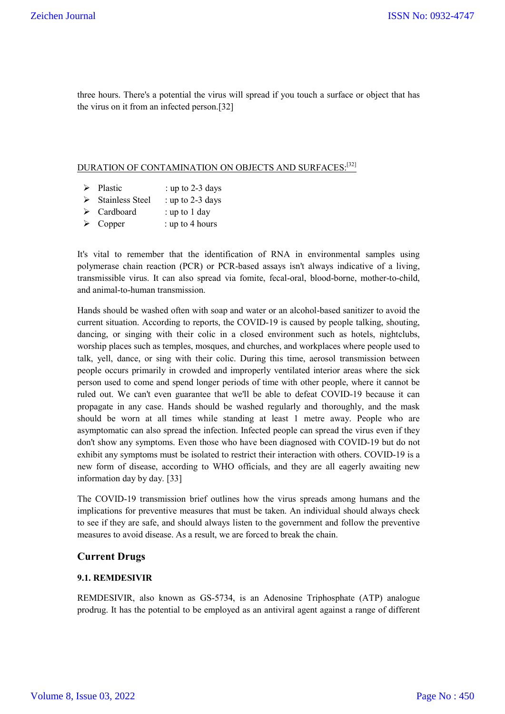three hours. There's a potential the virus will spread if you touch a surface or object that has the virus on it from an infected person.[32]

# DURATION OF CONTAMINATION ON OBJECTS AND SURFACES: [32]

- $\triangleright$  Plastic : up to 2-3 days
- $\triangleright$  Stainless Steel : up to 2-3 days
- $\triangleright$  Cardboard : up to 1 day
- $\triangleright$  Copper : up to 4 hours

It's vital to remember that the identification of RNA in environmental samples using polymerase chain reaction (PCR) or PCR-based assays isn't always indicative of a living, transmissible virus. It can also spread via fomite, fecal-oral, blood-borne, mother-to-child, and animal-to-human transmission.

Hands should be washed often with soap and water or an alcohol-based sanitizer to avoid the current situation. According to reports, the COVID-19 is caused by people talking, shouting, dancing, or singing with their colic in a closed environment such as hotels, nightclubs, worship places such as temples, mosques, and churches, and workplaces where people used to talk, yell, dance, or sing with their colic. During this time, aerosol transmission between people occurs primarily in crowded and improperly ventilated interior areas where the sick person used to come and spend longer periods of time with other people, where it cannot be ruled out. We can't even guarantee that we'll be able to defeat COVID-19 because it can propagate in any case. Hands should be washed regularly and thoroughly, and the mask should be worn at all times while standing at least 1 metre away. People who are asymptomatic can also spread the infection. Infected people can spread the virus even if they don't show any symptoms. Even those who have been diagnosed with COVID-19 but do not exhibit any symptoms must be isolated to restrict their interaction with others. COVID-19 is a new form of disease, according to WHO officials, and they are all eagerly awaiting new information day by day. [33]

The COVID-19 transmission brief outlines how the virus spreads among humans and the implications for preventive measures that must be taken. An individual should always check to see if they are safe, and should always listen to the government and follow the preventive measures to avoid disease. As a result, we are forced to break the chain.

# **Current Drugs**

### **9.1. REMDESIVIR**

REMDESIVIR, also known as GS-5734, is an Adenosine Triphosphate (ATP) analogue prodrug. It has the potential to be employed as an antiviral agent against a range of different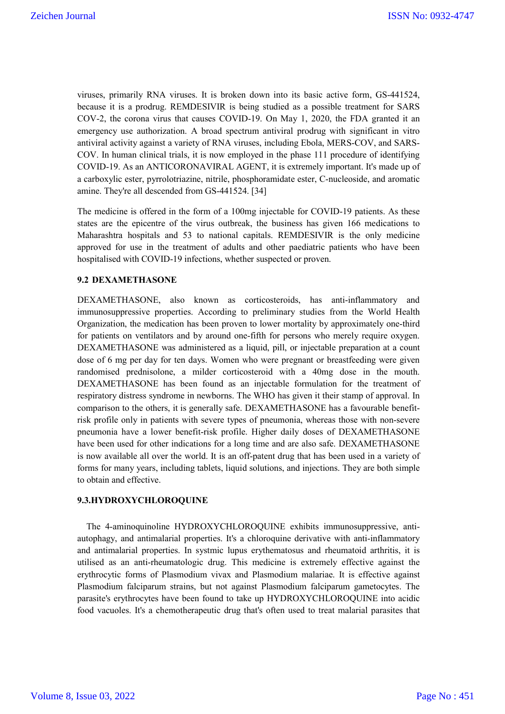viruses, primarily RNA viruses. It is broken down into its basic active form, GS-441524, because it is a prodrug. REMDESIVIR is being studied as a possible treatment for SARS COV-2, the corona virus that causes COVID-19. On May 1, 2020, the FDA granted it an emergency use authorization. A broad spectrum antiviral prodrug with significant in vitro antiviral activity against a variety of RNA viruses, including Ebola, MERS-COV, and SARS-COV. In human clinical trials, it is now employed in the phase 111 procedure of identifying COVID-19. As an ANTICORONAVIRAL AGENT, it is extremely important. It's made up of a carboxylic ester, pyrrolotriazine, nitrile, phosphoramidate ester, C-nucleoside, and aromatic amine. They're all descended from GS-441524. [34]

The medicine is offered in the form of a 100mg injectable for COVID-19 patients. As these states are the epicentre of the virus outbreak, the business has given 166 medications to Maharashtra hospitals and 53 to national capitals. REMDESIVIR is the only medicine approved for use in the treatment of adults and other paediatric patients who have been hospitalised with COVID-19 infections, whether suspected or proven.

#### **9.2 DEXAMETHASONE**

DEXAMETHASONE, also known as corticosteroids, has anti-inflammatory and immunosuppressive properties. According to preliminary studies from the World Health Organization, the medication has been proven to lower mortality by approximately one-third for patients on ventilators and by around one-fifth for persons who merely require oxygen. DEXAMETHASONE was administered as a liquid, pill, or injectable preparation at a count dose of 6 mg per day for ten days. Women who were pregnant or breastfeeding were given randomised prednisolone, a milder corticosteroid with a 40mg dose in the mouth. DEXAMETHASONE has been found as an injectable formulation for the treatment of respiratory distress syndrome in newborns. The WHO has given it their stamp of approval. In comparison to the others, it is generally safe. DEXAMETHASONE has a favourable benefitrisk profile only in patients with severe types of pneumonia, whereas those with non-severe pneumonia have a lower benefit-risk profile. Higher daily doses of DEXAMETHASONE have been used for other indications for a long time and are also safe. DEXAMETHASONE is now available all over the world. It is an off-patent drug that has been used in a variety of forms for many years, including tablets, liquid solutions, and injections. They are both simple to obtain and effective.

#### **9.3.HYDROXYCHLOROQUINE**

 The 4-aminoquinoline HYDROXYCHLOROQUINE exhibits immunosuppressive, antiautophagy, and antimalarial properties. It's a chloroquine derivative with anti-inflammatory and antimalarial properties. In systmic lupus erythematosus and rheumatoid arthritis, it is utilised as an anti-rheumatologic drug. This medicine is extremely effective against the erythrocytic forms of Plasmodium vivax and Plasmodium malariae. It is effective against Plasmodium falciparum strains, but not against Plasmodium falciparum gametocytes. The parasite's erythrocytes have been found to take up HYDROXYCHLOROQUINE into acidic food vacuoles. It's a chemotherapeutic drug that's often used to treat malarial parasites that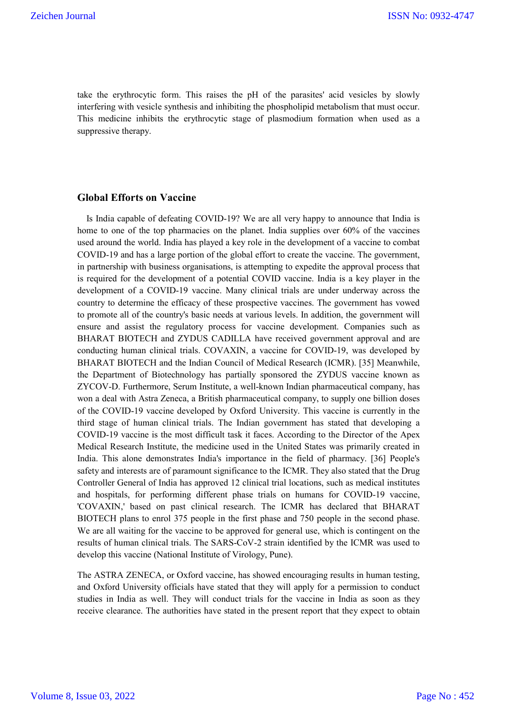take the erythrocytic form. This raises the pH of the parasites' acid vesicles by slowly interfering with vesicle synthesis and inhibiting the phospholipid metabolism that must occur. This medicine inhibits the erythrocytic stage of plasmodium formation when used as a suppressive therapy.

#### **Global Efforts on Vaccine**

 Is India capable of defeating COVID-19? We are all very happy to announce that India is home to one of the top pharmacies on the planet. India supplies over 60% of the vaccines used around the world. India has played a key role in the development of a vaccine to combat COVID-19 and has a large portion of the global effort to create the vaccine. The government, in partnership with business organisations, is attempting to expedite the approval process that is required for the development of a potential COVID vaccine. India is a key player in the development of a COVID-19 vaccine. Many clinical trials are under underway across the country to determine the efficacy of these prospective vaccines. The government has vowed to promote all of the country's basic needs at various levels. In addition, the government will ensure and assist the regulatory process for vaccine development. Companies such as BHARAT BIOTECH and ZYDUS CADILLA have received government approval and are conducting human clinical trials. COVAXIN, a vaccine for COVID-19, was developed by BHARAT BIOTECH and the Indian Council of Medical Research (ICMR). [35] Meanwhile, the Department of Biotechnology has partially sponsored the ZYDUS vaccine known as ZYCOV-D. Furthermore, Serum Institute, a well-known Indian pharmaceutical company, has won a deal with Astra Zeneca, a British pharmaceutical company, to supply one billion doses of the COVID-19 vaccine developed by Oxford University. This vaccine is currently in the third stage of human clinical trials. The Indian government has stated that developing a COVID-19 vaccine is the most difficult task it faces. According to the Director of the Apex Medical Research Institute, the medicine used in the United States was primarily created in India. This alone demonstrates India's importance in the field of pharmacy. [36] People's safety and interests are of paramount significance to the ICMR. They also stated that the Drug Controller General of India has approved 12 clinical trial locations, such as medical institutes and hospitals, for performing different phase trials on humans for COVID-19 vaccine, 'COVAXIN,' based on past clinical research. The ICMR has declared that BHARAT BIOTECH plans to enrol 375 people in the first phase and 750 people in the second phase. We are all waiting for the vaccine to be approved for general use, which is contingent on the results of human clinical trials. The SARS-CoV-2 strain identified by the ICMR was used to develop this vaccine (National Institute of Virology, Pune).

The ASTRA ZENECA, or Oxford vaccine, has showed encouraging results in human testing, and Oxford University officials have stated that they will apply for a permission to conduct studies in India as well. They will conduct trials for the vaccine in India as soon as they receive clearance. The authorities have stated in the present report that they expect to obtain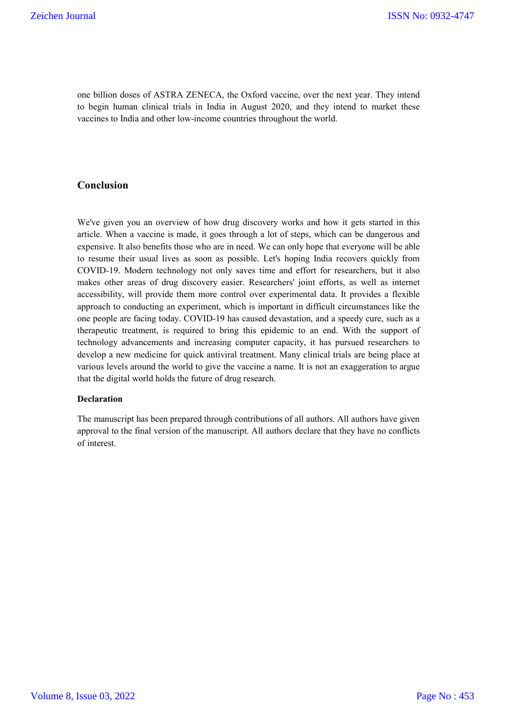one billion doses of ASTRA ZENECA, the Oxford vaccine, over the next year. They intend to begin human clinical trials in India in August 2020, and they intend to market these vaccines to India and other low-income countries throughout the world.

## **Conclusion**

We've given you an overview of how drug discovery works and how it gets started in this article. When a vaccine is made, it goes through a lot of steps, which can be dangerous and expensive. It also benefits those who are in need. We can only hope that everyone will be able to resume their usual lives as soon as possible. Let's hoping India recovers quickly from COVID-19. Modern technology not only saves time and effort for researchers, but it also makes other areas of drug discovery easier. Researchers' joint efforts, as well as internet accessibility, will provide them more control over experimental data. It provides a flexible approach to conducting an experiment, which is important in difficult circumstances like the one people are facing today. COVID-19 has caused devastation, and a speedy cure, such as a therapeutic treatment, is required to bring this epidemic to an end. With the support of technology advancements and increasing computer capacity, it has pursued researchers to develop a new medicine for quick antiviral treatment. Many clinical trials are being place at various levels around the world to give the vaccine a name. It is not an exaggeration to argue that the digital world holds the future of drug research.

#### **Declaration**

The manuscript has been prepared through contributions of all authors. All authors have given approval to the final version of the manuscript. All authors declare that they have no conflicts of interest.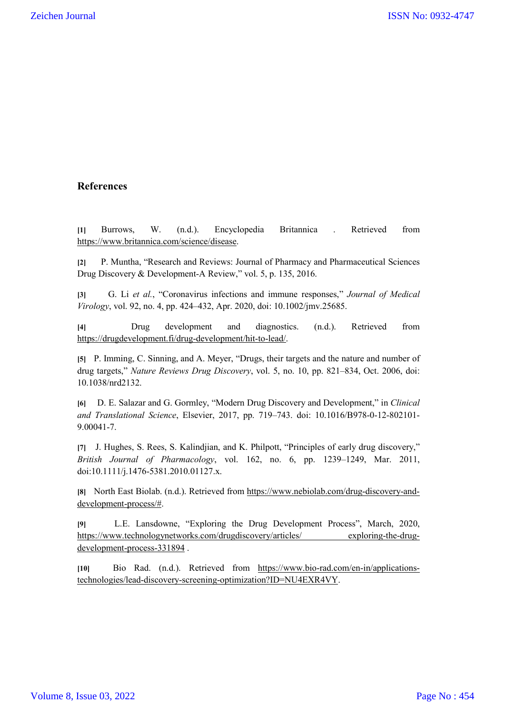# **References**

**[1]** Burrows, W. (n.d.). Encyclopedia Britannica . Retrieved from https://www.britannica.com/science/disease.

**[2]** P. Muntha, "Research and Reviews: Journal of Pharmacy and Pharmaceutical Sciences Drug Discovery & Development-A Review," vol. 5, p. 135, 2016.

**[3]** G. Li *et al.*, "Coronavirus infections and immune responses," *Journal of Medical Virology*, vol. 92, no. 4, pp. 424–432, Apr. 2020, doi: 10.1002/jmv.25685.

**[4]** Drug development and diagnostics. (n.d.). Retrieved from https://drugdevelopment.fi/drug-development/hit-to-lead/.

**[5]** P. Imming, C. Sinning, and A. Meyer, "Drugs, their targets and the nature and number of drug targets," *Nature Reviews Drug Discovery*, vol. 5, no. 10, pp. 821–834, Oct. 2006, doi: 10.1038/nrd2132.

**[6]** D. E. Salazar and G. Gormley, "Modern Drug Discovery and Development," in *Clinical and Translational Science*, Elsevier, 2017, pp. 719–743. doi: 10.1016/B978-0-12-802101- 9.00041-7.

**[7]** J. Hughes, S. Rees, S. Kalindjian, and K. Philpott, "Principles of early drug discovery," *British Journal of Pharmacology*, vol. 162, no. 6, pp. 1239–1249, Mar. 2011, doi:10.1111/j.1476-5381.2010.01127.x.

**[8]** North East Biolab. (n.d.). Retrieved from https://www.nebiolab.com/drug-discovery-anddevelopment-process/#.

**[9]** L.E. Lansdowne, "Exploring the Drug Development Process", March, 2020, https://www.technologynetworks.com/drugdiscovery/articles/ exploring-the-drugdevelopment-process-331894 .

**[10]** Bio Rad. (n.d.). Retrieved from https://www.bio-rad.com/en-in/applicationstechnologies/lead-discovery-screening-optimization?ID=NU4EXR4VY.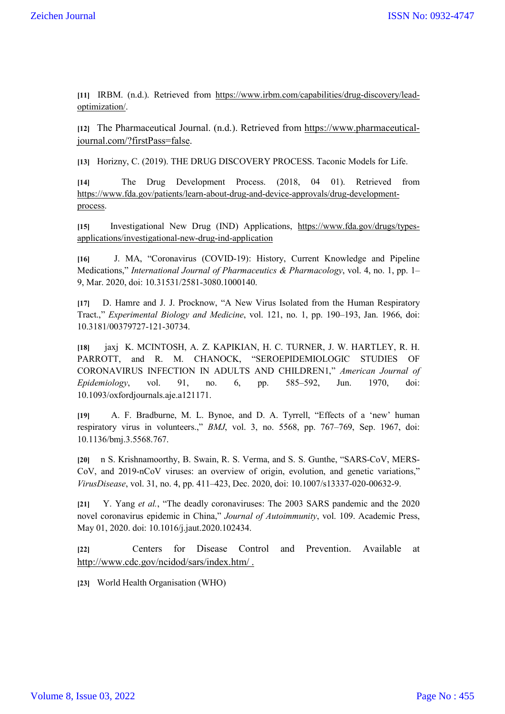**[11]** IRBM. (n.d.). Retrieved from https://www.irbm.com/capabilities/drug-discovery/leadoptimization/.

**[12]** The Pharmaceutical Journal. (n.d.). Retrieved from https://www.pharmaceuticaljournal.com/?firstPass=false.

**[13]** Horizny, C. (2019). THE DRUG DISCOVERY PROCESS. Taconic Models for Life.

**[14]** The Drug Development Process. (2018, 04 01). Retrieved from https://www.fda.gov/patients/learn-about-drug-and-device-approvals/drug-developmentprocess.

**[15]** Investigational New Drug (IND) Applications, https://www.fda.gov/drugs/typesapplications/investigational-new-drug-ind-application

**[16]** J. MA, "Coronavirus (COVID-19): History, Current Knowledge and Pipeline Medications," *International Journal of Pharmaceutics & Pharmacology*, vol. 4, no. 1, pp. 1– 9, Mar. 2020, doi: 10.31531/2581-3080.1000140.

**[17]** D. Hamre and J. J. Procknow, "A New Virus Isolated from the Human Respiratory Tract.," *Experimental Biology and Medicine*, vol. 121, no. 1, pp. 190–193, Jan. 1966, doi: 10.3181/00379727-121-30734.

**[18]** jaxj K. MCINTOSH, A. Z. KAPIKIAN, H. C. TURNER, J. W. HARTLEY, R. H. PARROTT, and R. M. CHANOCK, "SEROEPIDEMIOLOGIC STUDIES OF CORONAVIRUS INFECTION IN ADULTS AND CHILDREN1," *American Journal of Epidemiology*, vol. 91, no. 6, pp. 585–592, Jun. 1970, doi: 10.1093/oxfordjournals.aje.a121171.

**[19]** A. F. Bradburne, M. L. Bynoe, and D. A. Tyrrell, "Effects of a 'new' human respiratory virus in volunteers.," *BMJ*, vol. 3, no. 5568, pp. 767–769, Sep. 1967, doi: 10.1136/bmj.3.5568.767.

**[20]** n S. Krishnamoorthy, B. Swain, R. S. Verma, and S. S. Gunthe, "SARS-CoV, MERS-CoV, and 2019-nCoV viruses: an overview of origin, evolution, and genetic variations," *VirusDisease*, vol. 31, no. 4, pp. 411–423, Dec. 2020, doi: 10.1007/s13337-020-00632-9.

**[21]** Y. Yang *et al.*, "The deadly coronaviruses: The 2003 SARS pandemic and the 2020 novel coronavirus epidemic in China," *Journal of Autoimmunity*, vol. 109. Academic Press, May 01, 2020. doi: 10.1016/j.jaut.2020.102434.

**[22]** Centers for Disease Control and Prevention. Available at http://www.cdc.gov/ncidod/sars/index.htm/ .

**[23]** World Health Organisation (WHO)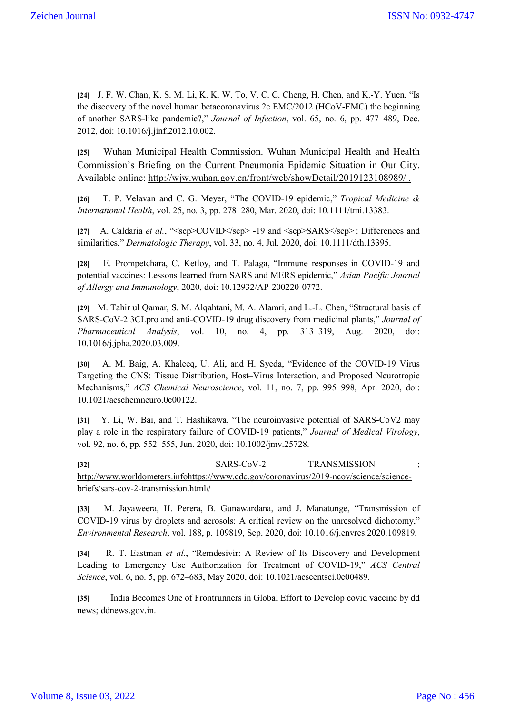**[24]** J. F. W. Chan, K. S. M. Li, K. K. W. To, V. C. C. Cheng, H. Chen, and K.-Y. Yuen, "Is the discovery of the novel human betacoronavirus 2c EMC/2012 (HCoV-EMC) the beginning of another SARS-like pandemic?," *Journal of Infection*, vol. 65, no. 6, pp. 477–489, Dec. 2012, doi: 10.1016/j.jinf.2012.10.002.

**[25]** Wuhan Municipal Health Commission. Wuhan Municipal Health and Health Commission's Briefing on the Current Pneumonia Epidemic Situation in Our City. Available online: http://wjw.wuhan.gov.cn/front/web/showDetail/2019123108989/ .

**[26]** T. P. Velavan and C. G. Meyer, "The COVID‐19 epidemic," *Tropical Medicine & International Health*, vol. 25, no. 3, pp. 278–280, Mar. 2020, doi: 10.1111/tmi.13383.

**[27]** A. Caldaria *et al.*, "<scp>COVID</scp> ‐19 and <scp>SARS</scp> : Differences and similarities," *Dermatologic Therapy*, vol. 33, no. 4, Jul. 2020, doi: 10.1111/dth.13395.

**[28]** E. Prompetchara, C. Ketloy, and T. Palaga, "Immune responses in COVID-19 and potential vaccines: Lessons learned from SARS and MERS epidemic," *Asian Pacific Journal of Allergy and Immunology*, 2020, doi: 10.12932/AP-200220-0772.

**[29]** M. Tahir ul Qamar, S. M. Alqahtani, M. A. Alamri, and L.-L. Chen, "Structural basis of SARS-CoV-2 3CLpro and anti-COVID-19 drug discovery from medicinal plants," *Journal of Pharmaceutical Analysis*, vol. 10, no. 4, pp. 313–319, Aug. 2020, doi: 10.1016/j.jpha.2020.03.009.

**[30]** A. M. Baig, A. Khaleeq, U. Ali, and H. Syeda, "Evidence of the COVID-19 Virus Targeting the CNS: Tissue Distribution, Host–Virus Interaction, and Proposed Neurotropic Mechanisms," *ACS Chemical Neuroscience*, vol. 11, no. 7, pp. 995–998, Apr. 2020, doi: 10.1021/acschemneuro.0c00122.

**[31]** Y. Li, W. Bai, and T. Hashikawa, "The neuroinvasive potential of SARS‐CoV2 may play a role in the respiratory failure of COVID‐19 patients," *Journal of Medical Virology*, vol. 92, no. 6, pp. 552–555, Jun. 2020, doi: 10.1002/jmv.25728.

**[32]** SARS-CoV-2 TRANSMISSION ; http://www.worldometers.infohttps://www.cdc.gov/coronavirus/2019-ncov/science/sciencebriefs/sars-cov-2-transmission.html#

**[33]** M. Jayaweera, H. Perera, B. Gunawardana, and J. Manatunge, "Transmission of COVID-19 virus by droplets and aerosols: A critical review on the unresolved dichotomy," *Environmental Research*, vol. 188, p. 109819, Sep. 2020, doi: 10.1016/j.envres.2020.109819.

**[34]** R. T. Eastman *et al.*, "Remdesivir: A Review of Its Discovery and Development Leading to Emergency Use Authorization for Treatment of COVID-19," *ACS Central Science*, vol. 6, no. 5, pp. 672–683, May 2020, doi: 10.1021/acscentsci.0c00489.

**[35]** India Becomes One of Frontrunners in Global Effort to Develop covid vaccine by dd news; ddnews.gov.in.